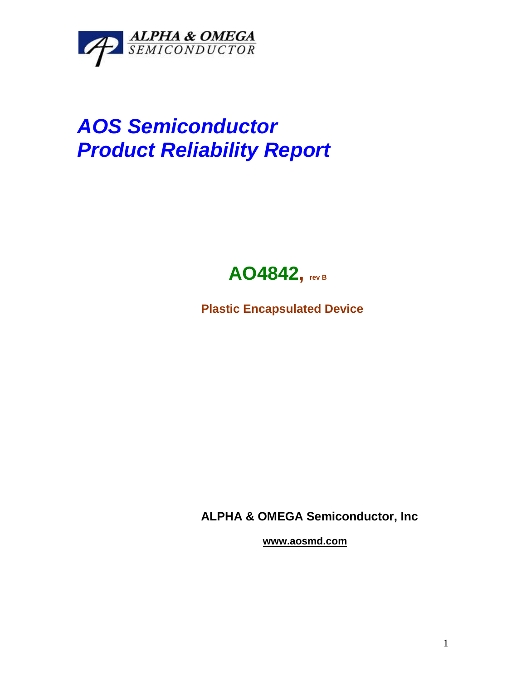

## *AOS Semiconductor Product Reliability Report*



**Plastic Encapsulated Device**

**ALPHA & OMEGA Semiconductor, Inc**

**www.aosmd.com**